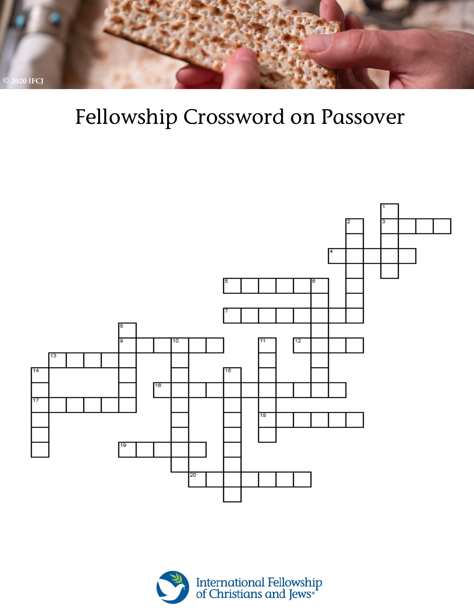

# Fellowship Crossword on Passover



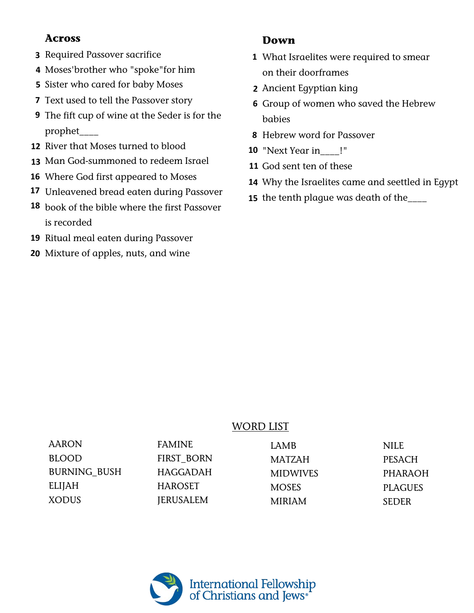#### **Across**

- **3** Required Passover sacrifice
- **4** Moses'brother who "spoke"for him
- **5** Sister who cared for baby Moses
- **7** Text used to tell the Passover story
- **9** The fift cup of wine at the Seder is for the prophet\_\_\_\_
- **12** River that Moses turned to blood
- **13** Man God-summoned to redeem Israel
- **16** Where God first appeared to Moses
- **17** Unleavened bread eaten during Passover
- **18** book of the bible where the first Passover is recorded
- **19** Ritual meal eaten during Passover
- Mixture of apples, nuts, and wine **20**

#### **Down**

- **1** What Israelites were required to smear on their doorframes
- Ancient Egyptian king **2**
- **6** Group of women who saved the Hebrew babies
- Hebrew word for Passover **8**
- **10** "Next Year in\_\_\_\_!"
- **11** God sent ten of these
- Why the Israelites came and seettled in Egypt **14**
- **15** the tenth plague was death of the\_\_\_\_

### WORD LIST

| AARON               | <b>FAMINE</b>    | LAMB            | <b>NILE</b>    |
|---------------------|------------------|-----------------|----------------|
| <b>BLOOD</b>        | FIRST BORN       | <b>MATZAH</b>   | <b>PESACH</b>  |
| <b>BURNING BUSH</b> | HAGGADAH         | <b>MIDWIVES</b> | <b>PHARAOH</b> |
| ELIJAH              | <b>HAROSET</b>   | <b>MOSES</b>    | <b>PLAGUES</b> |
| XODUS               | <b>JERUSALEM</b> | <b>MIRIAM</b>   | <b>SEDER</b>   |

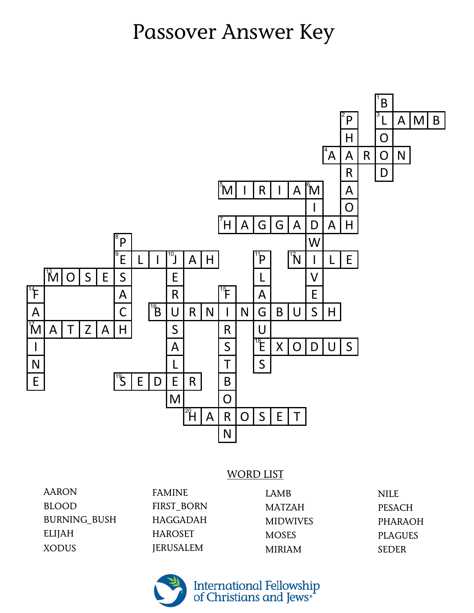## Passover Answer Key



#### WORD LIST

| <b>FAMINE</b>    | LAMB            |
|------------------|-----------------|
| FIRST BORN       | <b>MATZAH</b>   |
| <b>HAGGADAH</b>  | <b>MIDWIVES</b> |
| <b>HAROSET</b>   | <b>MOSES</b>    |
| <b>JERUSALEM</b> | <b>MIRIAM</b>   |
|                  |                 |

NILE PESACH PHARAOH PLAGUES SEDER



International Fellowship<br>of Christians and Jews\*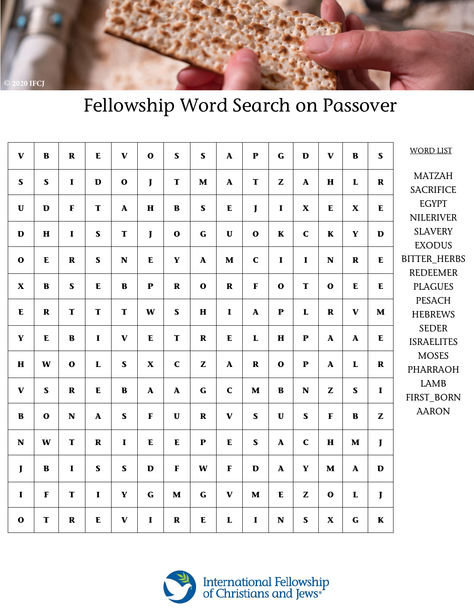

### Fellowship Word Search on Passover

| $\mathbf{V}$              | $\bf{B}$     | $\mathbf R$ | ${\bf E}$             | $\mathbf{V}$ | $\mathbf{o}$          | $\mathbf S$  | $\mathbf S$  | $\mathbf{A}$          | ${\bf P}$             | $\mathbf G$           | D                         | $\mathbf{V}$              | $\bf{B}$                  | $\mathbf S$  | <b>WORD LIST</b>                                                                            |
|---------------------------|--------------|-------------|-----------------------|--------------|-----------------------|--------------|--------------|-----------------------|-----------------------|-----------------------|---------------------------|---------------------------|---------------------------|--------------|---------------------------------------------------------------------------------------------|
| $\mathbf S$               | $\mathbf S$  | $\mathbf I$ | $\mathbf D$           | $\mathbf{o}$ | $\mathbf{I}$          | T            | $\mathbf M$  | $\boldsymbol{\rm{A}}$ | T                     | Z                     | $\boldsymbol{\mathsf{A}}$ | $\mathbf H$               | $\mathbf{L}$              | $\mathbf R$  | <b>MATZAH</b><br><b>SACRIFICE</b>                                                           |
| $\mathbf U$               | D            | $\mathbf F$ | T                     | ${\bf A}$    | $\mathbf H$           | $\bf{B}$     | $\mathbf{s}$ | ${\bf E}$             | J                     | $\mathbf I$           | $\boldsymbol{\mathrm{X}}$ | $\mathbf E$               | $\boldsymbol{\mathrm{X}}$ | E            | <b>EGYPT</b><br><b>NILERIVER</b>                                                            |
| $\mathbf D$               | $\mathbf H$  | $\mathbf I$ | $\mathbf S$           | T            | $\mathbf{J}$          | $\mathbf{o}$ | $\mathbf G$  | $\mathbf U$           | $\mathbf{o}$          | $\mathbf K$           | $\mathbf C$               | $\mathbf K$               | $\mathbf Y$               | $\mathbf{D}$ | <b>SLAVERY</b><br><b>EXODUS</b>                                                             |
| $\mathbf{o}$              | ${\bf E}$    | $\mathbf R$ | $\mathbf S$           | $\mathbf N$  | ${\bf E}$             | $\mathbf Y$  | $\mathbf A$  | $\mathbf M$           | $\mathbf C$           | $\mathbf I$           | $\mathbf I$               | $\mathbf N$               | $\mathbf R$               | E            | <b>BITTER_HERBS</b><br><b>REDEEMER</b><br><b>PLAGUES</b><br><b>PESACH</b><br><b>HEBREWS</b> |
| $\boldsymbol{\mathrm{X}}$ | $\mathbf B$  | $\mathbf S$ | ${\bf E}$             | $\bf{B}$     | $\mathbf{P}$          | $\mathbf R$  | $\mathbf{o}$ | $\mathbf R$           | $\mathbf F$           | $\mathbf{o}$          | T                         | $\mathbf{o}$              | ${\bf E}$                 | E            |                                                                                             |
| $\mathbf E$               | $\mathbf R$  | T           | $\mathbf T$           | T            | W                     | $\mathbf S$  | $\bf H$      | $\mathbf I$           | $\boldsymbol{\rm{A}}$ | ${\bf P}$             | ${\bf L}$                 | $\mathbf R$               | $\mathbf{V}$              | $\mathbf M$  |                                                                                             |
| $\mathbf Y$               | E            | $\bf{B}$    | $\mathbf{I}$          | $\mathbf{V}$ | ${\bf E}$             | T            | $\mathbf R$  | $\mathbf E$           | ${\bf L}$             | $\mathbf H$           | ${\bf P}$                 | ${\bf A}$                 | ${\bf A}$                 | E            | <b>SEDER</b><br><b>ISRAELITES</b>                                                           |
| $\mathbf H$               | W            | $\mathbf 0$ | ${\bf L}$             | $\mathbf S$  | $\mathbf X$           | $\mathbf C$  | $\mathbf{Z}$ | $\boldsymbol{\rm{A}}$ | $\mathbf R$           | $\mathbf{o}$          | ${\bf P}$                 | $\boldsymbol{\mathsf{A}}$ | $\mathbf L$               | $\mathbf R$  | <b>MOSES</b><br><b>PHARRAOH</b><br><b>LAMB</b><br>FIRST_BORN<br><b>AARON</b>                |
| $\mathbf{V}$              | $\mathbf S$  | $\mathbf R$ | E                     | $\mathbf B$  | $\boldsymbol{\rm{A}}$ | $\mathbf{A}$ | $\mathbf G$  | $\mathbf C$           | $\mathbf M$           | $\bf{B}$              | $\mathbf N$               | Z                         | $\mathbf{s}$              | $\mathbf{I}$ |                                                                                             |
| $\bf{B}$                  | $\mathbf{o}$ | $\mathbf N$ | $\boldsymbol{\rm{A}}$ | $\mathbf S$  | $\mathbf{F}$          | $\mathbf U$  | $\mathbf R$  | $\mathbf{V}$          | $\mathbf S$           | $\mathbf{U}$          | $\mathbf S$               | $\mathbf F$               | $\mathbf{B}$              | Z            |                                                                                             |
| $\mathbf N$               | W            | T           | $\mathbf R$           | $\mathbf I$  | ${\bf E}$             | ${\bf E}$    | $\mathbf P$  | ${\bf E}$             | $\mathbf S$           | $\boldsymbol{\rm{A}}$ | $\mathbf C$               | $\mathbf H$               | $\mathbf{M}$              | $\mathbf{J}$ |                                                                                             |
| $\mathbf{J}$              | $\bf{B}$     | $\mathbf I$ | $\mathbf S$           | $\mathbf S$  | $\mathbf{D}$          | $\mathbf{F}$ | W            | $\mathbf F$           | $\mathbf D$           | $\boldsymbol{\rm{A}}$ | $\mathbf Y$               | $\mathbf M$               | ${\bf A}$                 | $\mathbf{D}$ |                                                                                             |
| $\mathbf I$               | $\mathbf F$  | T           | $\mathbf{I}$          | $\mathbf Y$  | $\mathbf G$           | $\mathbf M$  | $\mathbf G$  | $\mathbf{V}$          | $\mathbf{M}$          | ${\bf E}$             | Z                         | $\mathbf{o}$              | L                         | $\mathbf{J}$ |                                                                                             |
| $\mathbf{o}$              | $\mathbf T$  | $\mathbf R$ | ${\bf E}$             | $\mathbf{V}$ | $\mathbf I$           | $\mathbf R$  | ${\bf E}$    | ${\bf L}$             | $\mathbf I$           | N                     | $\mathbf S$               | $\boldsymbol{\mathrm{X}}$ | $\mathbf G$               | $\mathbf K$  |                                                                                             |